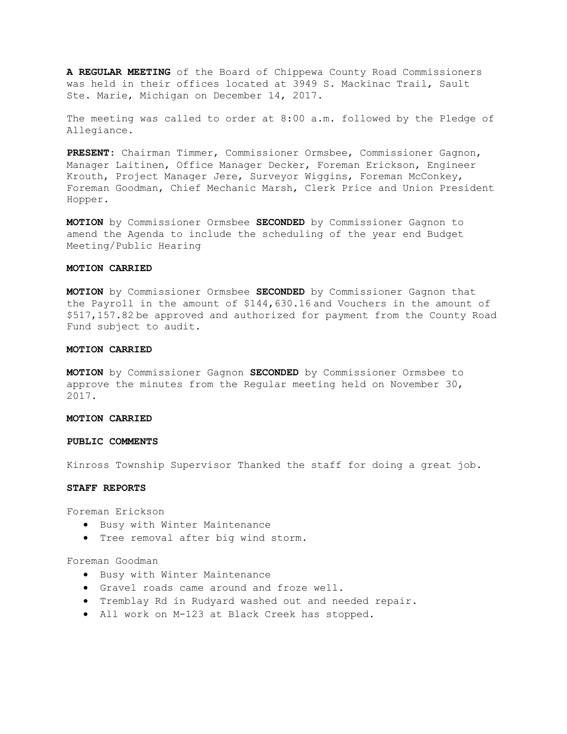**A REGULAR MEETING** of the Board of Chippewa County Road Commissioners was held in their offices located at 3949 S. Mackinac Trail, Sault Ste. Marie, Michigan on December 14, 2017.

The meeting was called to order at 8:00 a.m. followed by the Pledge of Allegiance.

**PRESENT:** Chairman Timmer, Commissioner Ormsbee, Commissioner Gagnon, Manager Laitinen, Office Manager Decker, Foreman Erickson, Engineer Krouth, Project Manager Jere, Surveyor Wiggins, Foreman McConkey, Foreman Goodman, Chief Mechanic Marsh, Clerk Price and Union President Hopper.

**MOTION** by Commissioner Ormsbee **SECONDED** by Commissioner Gagnon to amend the Agenda to include the scheduling of the year end Budget Meeting/Public Hearing

#### **MOTION CARRIED**

**MOTION** by Commissioner Ormsbee **SECONDED** by Commissioner Gagnon that the Payroll in the amount of \$144,630.16 and Vouchers in the amount of \$517,157.82 be approved and authorized for payment from the County Road Fund subject to audit.

#### **MOTION CARRIED**

**MOTION** by Commissioner Gagnon **SECONDED** by Commissioner Ormsbee to approve the minutes from the Regular meeting held on November 30, 2017.

#### **MOTION CARRIED**

#### **PUBLIC COMMENTS**

Kinross Township Supervisor Thanked the staff for doing a great job.

#### **STAFF REPORTS**

Foreman Erickson

- Busy with Winter Maintenance
- Tree removal after big wind storm.

## Foreman Goodman

- Busy with Winter Maintenance
- Gravel roads came around and froze well.
- Tremblay Rd in Rudyard washed out and needed repair.
- All work on M-123 at Black Creek has stopped.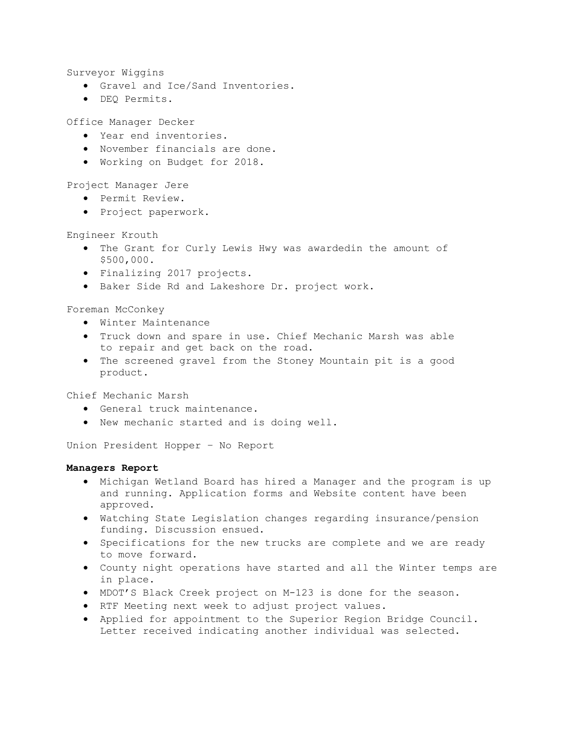Surveyor Wiggins

- Gravel and Ice/Sand Inventories.
- DEQ Permits.

Office Manager Decker

- Year end inventories.
- November financials are done.
- Working on Budget for 2018.

Project Manager Jere

- Permit Review.
- Project paperwork.

Engineer Krouth

- The Grant for Curly Lewis Hwy was awardedin the amount of \$500,000.
- Finalizing 2017 projects.
- Baker Side Rd and Lakeshore Dr. project work.

Foreman McConkey

- Winter Maintenance
- Truck down and spare in use. Chief Mechanic Marsh was able to repair and get back on the road.
- The screened gravel from the Stoney Mountain pit is a good product.

Chief Mechanic Marsh

- General truck maintenance.
- New mechanic started and is doing well.

Union President Hopper – No Report

# **Managers Report**

- Michigan Wetland Board has hired a Manager and the program is up and running. Application forms and Website content have been approved.
- Watching State Legislation changes regarding insurance/pension funding. Discussion ensued.
- Specifications for the new trucks are complete and we are ready to move forward.
- County night operations have started and all the Winter temps are in place.
- MDOT'S Black Creek project on M-123 is done for the season.
- RTF Meeting next week to adjust project values.
- Applied for appointment to the Superior Region Bridge Council. Letter received indicating another individual was selected.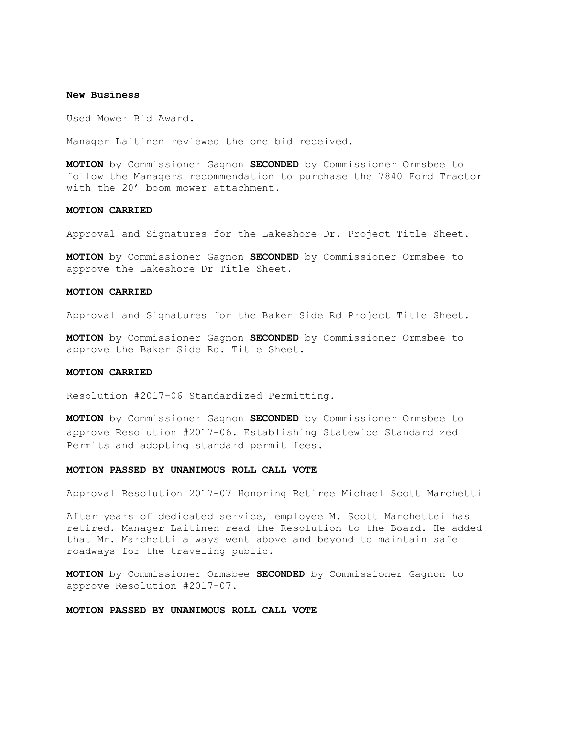#### **New Business**

Used Mower Bid Award.

Manager Laitinen reviewed the one bid received.

**MOTION** by Commissioner Gagnon **SECONDED** by Commissioner Ormsbee to follow the Managers recommendation to purchase the 7840 Ford Tractor with the 20' boom mower attachment.

## **MOTION CARRIED**

Approval and Signatures for the Lakeshore Dr. Project Title Sheet.

**MOTION** by Commissioner Gagnon **SECONDED** by Commissioner Ormsbee to approve the Lakeshore Dr Title Sheet.

## **MOTION CARRIED**

Approval and Signatures for the Baker Side Rd Project Title Sheet.

**MOTION** by Commissioner Gagnon **SECONDED** by Commissioner Ormsbee to approve the Baker Side Rd. Title Sheet.

# **MOTION CARRIED**

Resolution #2017-06 Standardized Permitting.

**MOTION** by Commissioner Gagnon **SECONDED** by Commissioner Ormsbee to approve Resolution #2017-06. Establishing Statewide Standardized Permits and adopting standard permit fees.

## **MOTION PASSED BY UNANIMOUS ROLL CALL VOTE**

Approval Resolution 2017-07 Honoring Retiree Michael Scott Marchetti

After years of dedicated service, employee M. Scott Marchettei has retired. Manager Laitinen read the Resolution to the Board. He added that Mr. Marchetti always went above and beyond to maintain safe roadways for the traveling public.

**MOTION** by Commissioner Ormsbee **SECONDED** by Commissioner Gagnon to approve Resolution #2017-07.

**MOTION PASSED BY UNANIMOUS ROLL CALL VOTE**